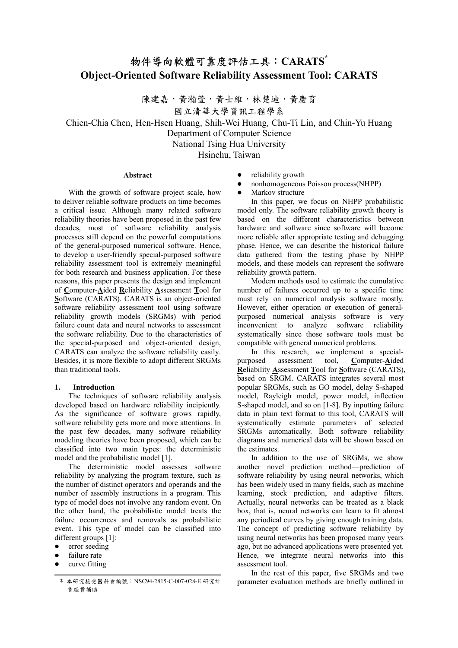# 物件導向軟體可靠度評估工具:**CARATS\* Object-Oriented Software Reliability Assessment Tool: CARATS**

陳建嘉,黃瀚萱,黃士維,林楚迪,黃慶育 國立清華大學資訊工程學系

Chien-Chia Chen, Hen-Hsen Huang, Shih-Wei Huang, Chu-Ti Lin, and Chin-Yu Huang Department of Computer Science

National Tsing Hua University

Hsinchu, Taiwan

## **Abstract**

With the growth of software project scale, how to deliver reliable software products on time becomes a critical issue. Although many related software reliability theories have been proposed in the past few decades, most of software reliability analysis processes still depend on the powerful computations of the general-purposed numerical software. Hence, to develop a user-friendly special-purposed software reliability assessment tool is extremely meaningful for both research and business application. For these reasons, this paper presents the design and implement of **C**omputer-**A**ided **R**eliability **A**ssessment **T**ool for **S**oftware (CARATS). CARATS is an object-oriented software reliability assessment tool using software reliability growth models (SRGMs) with period failure count data and neural networks to assessment the software reliability. Due to the characteristics of the special-purposed and object-oriented design, CARATS can analyze the software reliability easily. Besides, it is more flexible to adopt different SRGMs than traditional tools.

## **1. Introduction**

The techniques of software reliability analysis developed based on hardware reliability incipiently. As the significance of software grows rapidly, software reliability gets more and more attentions. In the past few decades, many software reliability modeling theories have been proposed, which can be classified into two main types: the deterministic model and the probabilistic model [1].

The deterministic model assesses software reliability by analyzing the program texture, such as the number of distinct operators and operands and the number of assembly instructions in a program. This type of model does not involve any random event. On the other hand, the probabilistic model treats the failure occurrences and removals as probabilistic event. This type of model can be classified into different groups [1]:

- $\bullet$  error seeding
- failure rate
- curve fitting
- reliability growth
- z nonhomogeneous Poisson process(NHPP)
- $\bullet$  Markov structure

In this paper, we focus on NHPP probabilistic model only. The software reliability growth theory is based on the different characteristics between hardware and software since software will become more reliable after appropriate testing and debugging phase. Hence, we can describe the historical failure data gathered from the testing phase by NHPP models, and these models can represent the software reliability growth pattern.

Modern methods used to estimate the cumulative number of failures occurred up to a specific time must rely on numerical analysis software mostly. However, either operation or execution of generalpurposed numerical analysis software is very inconvenient to analyze software reliability systematically since those software tools must be compatible with general numerical problems.

In this research, we implement a specialpurposed assessment tool, **C**omputer-**A**ided **R**eliability **A**ssessment **T**ool for **S**oftware (CARATS), based on SRGM. CARATS integrates several most popular SRGMs, such as GO model, delay S-shaped model, Rayleigh model, power model, inflection S-shaped model, and so on [1-8]. By inputting failure data in plain text format to this tool, CARATS will systematically estimate parameters of selected SRGMs automatically. Both software reliability diagrams and numerical data will be shown based on the estimates.

In addition to the use of SRGMs, we show another novel prediction method—prediction of software reliability by using neural networks, which has been widely used in many fields, such as machine learning, stock prediction, and adaptive filters. Actually, neural networks can be treated as a black box, that is, neural networks can learn to fit almost any periodical curves by giving enough training data. The concept of predicting software reliability by using neural networks has been proposed many years ago, but no advanced applications were presented yet. Hence, we integrate neural networks into this assessment tool.

In the rest of this paper, five SRGMs and two parameter evaluation methods are briefly outlined in

<sup>\*</sup> 本研究接受國科會編號:NSC94-2815-C-007-028-E 研究計 畫經費補助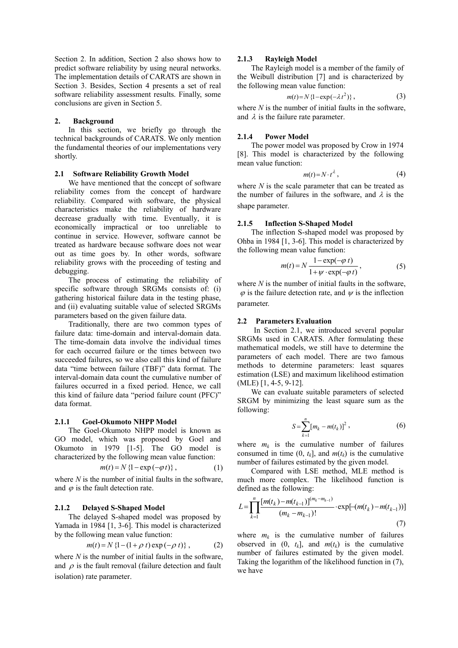Section 2. In addition, Section 2 also shows how to predict software reliability by using neural networks. The implementation details of CARATS are shown in Section 3. Besides, Section 4 presents a set of real software reliability assessment results. Finally, some conclusions are given in Section 5.

## **2. Background**

In this section, we briefly go through the technical backgrounds of CARATS. We only mention the fundamental theories of our implementations very shortly.

# **2.1 Software Reliability Growth Model**

We have mentioned that the concept of software reliability comes from the concept of hardware reliability. Compared with software, the physical characteristics make the reliability of hardware decrease gradually with time. Eventually, it is economically impractical or too unreliable to continue in service. However, software cannot be treated as hardware because software does not wear out as time goes by. In other words, software reliability grows with the proceeding of testing and debugging.

The process of estimating the reliability of specific software through SRGMs consists of: (i) gathering historical failure data in the testing phase, and (ii) evaluating suitable value of selected SRGMs parameters based on the given failure data.

Traditionally, there are two common types of failure data: time-domain and interval-domain data. The time-domain data involve the individual times for each occurred failure or the times between two succeeded failures, so we also call this kind of failure data "time between failure (TBF)" data format. The interval-domain data count the cumulative number of failures occurred in a fixed period. Hence, we call this kind of failure data "period failure count (PFC)" data format.

# **2.1.1 Goel-Okumoto NHPP Model**

The Goel-Okumoto NHPP model is known as GO model, which was proposed by Goel and Okumoto in 1979 [1-5]. The GO model is characterized by the following mean value function:

$$
m(t) = N\left\{1 - \exp(-\varphi t)\right\},\tag{1}
$$

where *N* is the number of initial faults in the software, and  $\varphi$  is the fault detection rate.

#### **2.1.2 Delayed S-Shaped Model**

The delayed S-shaped model was proposed by Yamada in 1984 [1, 3-6]. This model is characterized by the following mean value function:

$$
m(t) = N \{1 - (1 + \rho \ t) \exp(-\rho \ t) \}, \tag{2}
$$

where *N* is the number of initial faults in the software, and  $\rho$  is the fault removal (failure detection and fault isolation) rate parameter.

#### **2.1.3 Rayleigh Model**

The Rayleigh model is a member of the family of the Weibull distribution [7] and is characterized by the following mean value function:

$$
m(t) = N\left\{1 - \exp\left(-\lambda t^2\right)\right\},\tag{3}
$$

where *N* is the number of initial faults in the software. and  $\lambda$  is the failure rate parameter.

#### **2.1.4 Power Model**

The power model was proposed by Crow in 1974 [8]. This model is characterized by the following mean value function:

$$
m(t) = N \cdot t^{\lambda}, \tag{4}
$$

where *N* is the scale parameter that can be treated as the number of failures in the software, and  $\lambda$  is the shape parameter.

## **2.1.5 Inflection S-Shaped Model**

The inflection S-shaped model was proposed by Ohba in 1984 [1, 3-6]. This model is characterized by the following mean value function:

$$
m(t) = N \frac{1 - \exp(-\varphi t)}{1 + \psi \cdot \exp(-\varphi t)},
$$
\n(5)

where *N* is the number of initial faults in the software,  $\varphi$  is the failure detection rate, and  $\psi$  is the inflection parameter.

#### **2.2 Parameters Evaluation**

In Section 2.1, we introduced several popular SRGMs used in CARATS. After formulating these mathematical models, we still have to determine the parameters of each model. There are two famous methods to determine parameters: least squares estimation (LSE) and maximum likelihood estimation (MLE) [1, 4-5, 9-12].

We can evaluate suitable parameters of selected SRGM by minimizing the least square sum as the following:

$$
S = \sum_{k=1}^{n} [m_k - m(t_k)]^2 , \qquad (6)
$$

where  $m_k$  is the cumulative number of failures consumed in time  $(0, t_k]$ , and  $m(t_k)$  is the cumulative number of failures estimated by the given model.

Compared with LSE method, MLE method is much more complex. The likelihood function is defined as the following:

$$
L = \prod_{k=1}^{n} \frac{[m(t_k) - m(t_{k-1})]^{(m_k - m_{k-1})}}{(m_k - m_{k-1})!} \cdot \exp[-(m(t_k) - m(t_{k-1}))]
$$
\n(7)

where  $m_k$  is the cumulative number of failures observed in  $(0, t_k]$ , and  $m(t_k)$  is the cumulative number of failures estimated by the given model. Taking the logarithm of the likelihood function in (7), we have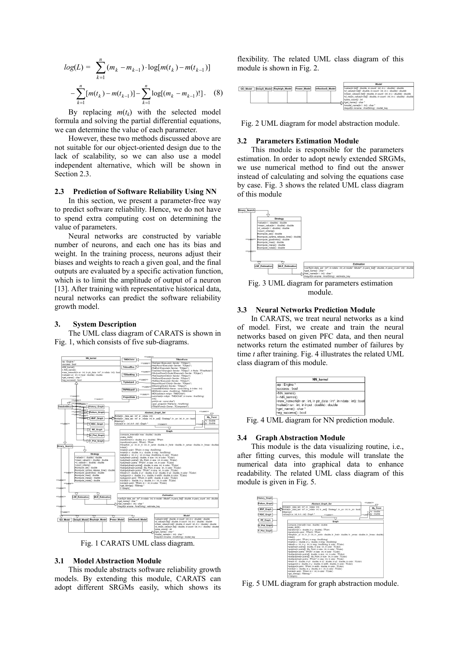$$
log(L) = \sum_{k=1}^{n} (m_k - m_{k-1}) \cdot log[m(t_k) - m(t_{k-1})]
$$

$$
- \sum_{k=1}^{n} [m(t_k) - m(t_{k-1})] - \sum_{k=1}^{n} log[(m_k - m_{k-1})!] \,. \tag{8}
$$

By replacing  $m(t_k)$  with the selected model formula and solving the partial differential equations, we can determine the value of each parameter.

However, these two methods discussed above are not suitable for our object-oriented design due to the lack of scalability, so we can also use a model independent alternative, which will be shown in Section 2.3.

# **2.3 Prediction of Software Reliability Using NN**

In this section, we present a parameter-free way to predict software reliability. Hence, we do not have to spend extra computing cost on determining the value of parameters.

Neural networks are constructed by variable number of neurons, and each one has its bias and weight. In the training process, neurons adjust their biases and weights to reach a given goal, and the final outputs are evaluated by a specific activation function, which is to limit the amplitude of output of a neuron [13]. After training with representative historical data, neural networks can predict the software reliability growth model.

# **3. System Description**

The UML class diagram of CARATS is shown in Fig. 1, which consists of five sub-diagrams.



Fig. 1 CARATS UML class diagram.

#### **3.1 Model Abstraction Module**

This module abstracts software reliability growth models. By extending this module, CARATS can adopt different SRGMs easily, which shows its

flexibility. The related UML class diagram of this module is shown in Fig. 2.

|                                                |             |                   | Model                                                                                                                                                                                                                 |
|------------------------------------------------|-------------|-------------------|-----------------------------------------------------------------------------------------------------------------------------------------------------------------------------------------------------------------------|
| DelayS Model Rayleigh Model<br><b>GO</b> Model | Power Model | InflectionS Model | +value(in list]] ; double, in count ; int, in c ; double) ; double<br>+d value(in list[] : double, in count : int, in c : double) : double<br>+mean_value(in list[] ; double, in count ; int, in c ; double) ; double |
|                                                |             |                   | +d mean value(in list[] ; double, in count ; int, in c ; double) ; double<br>+para_count() : int                                                                                                                      |
|                                                |             |                   | N*get name() : char *<br>+model_name(in i : int) : char *<br>+keyof(in mname : AnsiString) : model key                                                                                                                |

Fig. 2 UML diagram for model abstraction module.

#### **3.2 Parameters Estimation Module**

This module is responsible for the parameters estimation. In order to adopt newly extended SRGMs, we use numerical method to find out the answer instead of calculating and solving the equations case by case. Fig. 3 shows the related UML class diagram of this module



Fig. 3 UML diagram for parameters estimation module.

## **3.3 Neural Networks Prediction Module**

In CARATS, we treat neural networks as a kind of model. First, we create and train the neural networks based on given PFC data, and then neural networks return the estimated number of failures by time *t* after training. Fig. 4 illustrates the related UML class diagram of this module.

|                                                 | <b>NN</b> kernel                                                     |
|-------------------------------------------------|----------------------------------------------------------------------|
| -ep : Engine *                                  |                                                                      |
| -success: bool                                  |                                                                      |
| +NN kernel()                                    |                                                                      |
| +~NN kernel()                                   |                                                                      |
|                                                 | +new network(in sn : int, in ptr data : int*, in ndata : int) : bool |
| +value(in sn : int, in input : double) : double |                                                                      |
| +get name() : char *                            |                                                                      |
| +eg success() : bool                            |                                                                      |

Fig. 4 UML diagram for NN prediction module.

#### **3.4 Graph Abstraction Module**

This module is the data visualizing routine, i.e., after fitting curves, this module will translate the numerical data into graphical data to enhance readability. The related UML class diagram of this module is given in Fig. 5.



Fig. 5 UML diagram for graph abstraction module.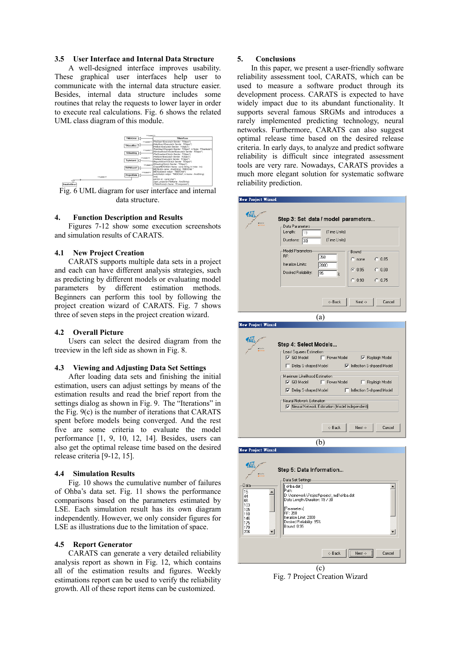# **3.5 User Interface and Internal Data Structure**

A well-designed interface improves usability. These graphical user interfaces help user to communicate with the internal data structure easier. Besides, internal data structure includes some routines that relay the requests to lower layer in order to execute real calculations. Fig. 6 shows the related UML class diagram of this module.



Fig. 6 UML diagram for user interface and internal data structure.

## **4. Function Description and Results**

Figures 7-12 show some execution screenshots and simulation results of CARATS.

## **4.1 New Project Creation**

CARATS supports multiple data sets in a project and each can have different analysis strategies, such as predicting by different models or evaluating model parameters by different estimation methods. Beginners can perform this tool by following the project creation wizard of CARATS. Fig. 7 shows three of seven steps in the project creation wizard.

# **4.2 Overall Picture**

Users can select the desired diagram from the treeview in the left side as shown in Fig. 8.

## **4.3 Viewing and Adjusting Data Set Settings**

After loading data sets and finishing the initial estimation, users can adjust settings by means of the estimation results and read the brief report from the settings dialog as shown in Fig. 9. The "Iterations" in the Fig. 9(c) is the number of iterations that CARATS spent before models being converged. And the rest five are some criteria to evaluate the model performance [1, 9, 10, 12, 14]. Besides, users can also get the optimal release time based on the desired release criteria [9-12, 15].

#### **4.4 Simulation Results**

Fig. 10 shows the cumulative number of failures of Ohba's data set. Fig. 11 shows the performance comparisons based on the parameters estimated by LSE. Each simulation result has its own diagram independently. However, we only consider figures for LSE as illustrations due to the limitation of space.

#### **4.5 Report Generator**

CARATS can generate a very detailed reliability analysis report as shown in Fig. 12, which contains all of the estimation results and figures. Weekly estimations report can be used to verify the reliability growth. All of these report items can be customized.

## **5. Conclusions**

In this paper, we present a user-friendly software reliability assessment tool, CARATS, which can be used to measure a software product through its development process. CARATS is expected to have widely impact due to its abundant functionality. It supports several famous SRGMs and introduces a rarely implemented predicting technology, neural networks. Furthermore, CARATS can also suggest optimal release time based on the desired release criteria. In early days, to analyze and predict software reliability is difficult since integrated assessment tools are very rare. Nowadays, CARATS provides a much more elegant solution for systematic software reliability prediction.

| <b>New Project Wizard</b>                                                          |                                                                                                                                                                                                                                                                                                                                                                                                                      |  |  |  |  |  |  |  |
|------------------------------------------------------------------------------------|----------------------------------------------------------------------------------------------------------------------------------------------------------------------------------------------------------------------------------------------------------------------------------------------------------------------------------------------------------------------------------------------------------------------|--|--|--|--|--|--|--|
|                                                                                    | Step 3: Set data / model parameters<br>Data Parameters-<br>Length:<br>(Time Units)<br>119<br>Durations: 30<br>(Time Units)<br>Model Parameters<br>Bound<br>BF:<br>358<br>$C$ none<br>C.0.85<br>Iteration Limits:<br>2000<br>$C = 0.95$<br>$C$ 0.80<br>Desired Reliability:<br>195<br>$\frac{2}{6}$<br>C.0.90<br>C.0.75<br><- Back<br>Next -><br>Cancel                                                               |  |  |  |  |  |  |  |
|                                                                                    |                                                                                                                                                                                                                                                                                                                                                                                                                      |  |  |  |  |  |  |  |
|                                                                                    | (a)                                                                                                                                                                                                                                                                                                                                                                                                                  |  |  |  |  |  |  |  |
| <b>New Project Wizard</b>                                                          |                                                                                                                                                                                                                                                                                                                                                                                                                      |  |  |  |  |  |  |  |
|                                                                                    | Step 4: Select Models<br>Least Squares Estimation<br>$\nabla$ GO Model<br>Power Model<br><b>▽</b> Rayleigh Model<br>Delay S-shaped Model<br><b>▽</b> Inflection S-shpaed Model<br>Maximum Likelihood Estimation<br>$\nabla$ GO Model<br>F Power Model<br>п.<br>Rayleigh Model<br>Delay S-shaped Model<br>□ Inflection S-shpaed Model<br>Neural Network Estimation<br>V Neural Network Estimation (Model Independent) |  |  |  |  |  |  |  |
|                                                                                    | <- Back<br>Cancel<br>Next $\rightarrow$                                                                                                                                                                                                                                                                                                                                                                              |  |  |  |  |  |  |  |
|                                                                                    | (b)                                                                                                                                                                                                                                                                                                                                                                                                                  |  |  |  |  |  |  |  |
| <b>New Project Wizard</b>                                                          |                                                                                                                                                                                                                                                                                                                                                                                                                      |  |  |  |  |  |  |  |
| Data<br>15<br>▲<br>44<br>66<br>103<br>105<br>110<br>146<br>175<br>179<br>206<br>▾╎ | Step 5: Data Information<br>Data Set Settings<br>[ ohba.dat ]<br>▲<br>Path:<br>D:\homework\Project\project_mdi\ohba.dat<br>Data Length/Duration: 19 / 30<br>[Parameters]<br>RF: 358<br>Iteration Limit: 2000<br>Desired Reliability: 95%<br>Bound: 0.95<br>▼∣                                                                                                                                                        |  |  |  |  |  |  |  |

(c) Fig. 7 Project Creation Wizard

Next

Cancel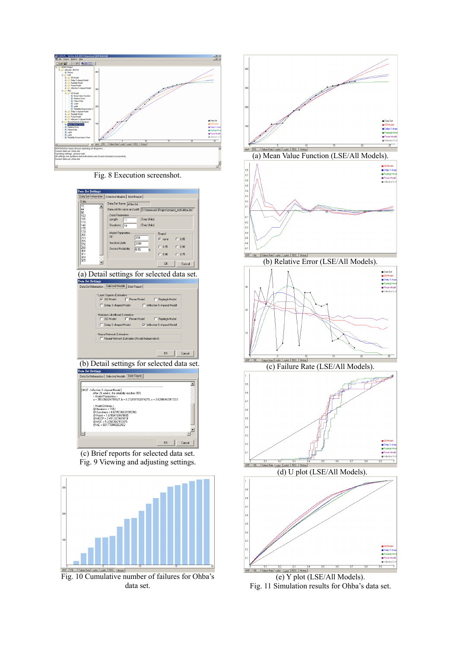

Fig. 8 Execution screenshot.



(c) Brief reports for selected data set. Fig. 9 Viewing and adjusting settings.



Fig. 10 Cumulative number of failures for Ohba's data set.



(a) Mean Value Function (LSE/All Models).



(b) Relative Error (LSE/All Models).



(c) Failure Rate (LSE/All Models).



(d) U plot (LSE/All Models).



(e) Y plot (LSE/All Models). Fig. 11 Simulation results for Ohba's data set.